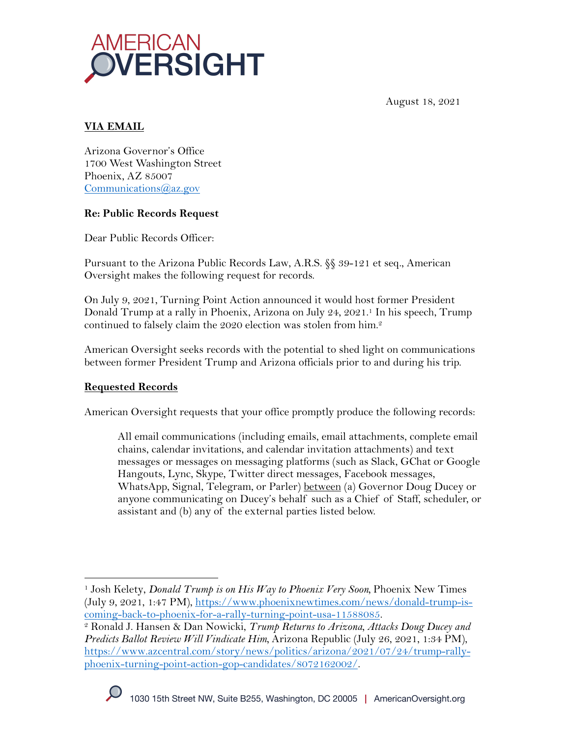

August 18, 2021

# **VIA EMAIL**

Arizona Governor's Office 1700 West Washington Street Phoenix, AZ 85007 Communications@az.gov

### **Re: Public Records Request**

Dear Public Records Officer:

Pursuant to the Arizona Public Records Law, A.R.S. §§ 39-121 et seq., American Oversight makes the following request for records.

On July 9, 2021, Turning Point Action announced it would host former President Donald Trump at a rally in Phoenix, Arizona on July 24, 2021.1 In his speech, Trump continued to falsely claim the 2020 election was stolen from him.2

American Oversight seeks records with the potential to shed light on communications between former President Trump and Arizona officials prior to and during his trip.

# **Requested Records**

American Oversight requests that your office promptly produce the following records:

All email communications (including emails, email attachments, complete email chains, calendar invitations, and calendar invitation attachments) and text messages or messages on messaging platforms (such as Slack, GChat or Google Hangouts, Lync, Skype, Twitter direct messages, Facebook messages, WhatsApp, Signal, Telegram, or Parler) between (a) Governor Doug Ducey or anyone communicating on Ducey's behalf such as a Chief of Staff, scheduler, or assistant and (b) any of the external parties listed below.

<sup>1</sup> Josh Kelety, *Donald Trump is on His Way to Phoenix Very Soon,* Phoenix New Times (July 9, 2021, 1:47 PM), https://www.phoenixnewtimes.com/news/donald-trump-is-

coming-back-to-phoenix-for-a-rally-turning-point-usa-11588085. 2 Ronald J. Hansen & Dan Nowicki, *Trump Returns to Arizona, Attacks Doug Ducey and Predicts Ballot Review Will Vindicate Him,* Arizona Republic (July 26, 2021, 1:34 PM), https://www.azcentral.com/story/news/politics/arizona/2021/07/24/trump-rallyphoenix-turning-point-action-gop-candidates/8072162002/.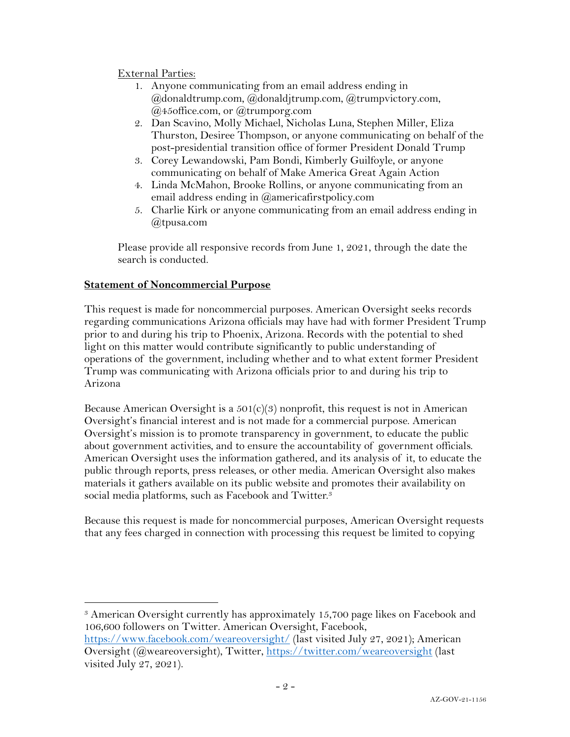### External Parties:

- 1. Anyone communicating from an email address ending in @donaldtrump.com, @donaldjtrump.com, @trumpvictory.com, @45office.com, or @trumporg.com
- 2. Dan Scavino, Molly Michael, Nicholas Luna, Stephen Miller, Eliza Thurston, Desiree Thompson, or anyone communicating on behalf of the post-presidential transition office of former President Donald Trump
- 3. Corey Lewandowski, Pam Bondi, Kimberly Guilfoyle, or anyone communicating on behalf of Make America Great Again Action
- 4. Linda McMahon, Brooke Rollins, or anyone communicating from an email address ending in @americafirstpolicy.com
- 5. Charlie Kirk or anyone communicating from an email address ending in @tpusa.com

Please provide all responsive records from June 1, 2021, through the date the search is conducted.

### **Statement of Noncommercial Purpose**

This request is made for noncommercial purposes. American Oversight seeks records regarding communications Arizona officials may have had with former President Trump prior to and during his trip to Phoenix, Arizona. Records with the potential to shed light on this matter would contribute significantly to public understanding of operations of the government, including whether and to what extent former President Trump was communicating with Arizona officials prior to and during his trip to Arizona

Because American Oversight is a  $501(c)(3)$  nonprofit, this request is not in American Oversight's financial interest and is not made for a commercial purpose. American Oversight's mission is to promote transparency in government, to educate the public about government activities, and to ensure the accountability of government officials. American Oversight uses the information gathered, and its analysis of it, to educate the public through reports, press releases, or other media. American Oversight also makes materials it gathers available on its public website and promotes their availability on social media platforms, such as Facebook and Twitter.<sup>3</sup>

Because this request is made for noncommercial purposes, American Oversight requests that any fees charged in connection with processing this request be limited to copying

<sup>3</sup> American Oversight currently has approximately 15,700 page likes on Facebook and 106,600 followers on Twitter. American Oversight, Facebook, https://www.facebook.com/weareoversight/ (last visited July 27, 2021); American

Oversight (@weareoversight), Twitter, https://twitter.com/weareoversight (last visited July 27, 2021).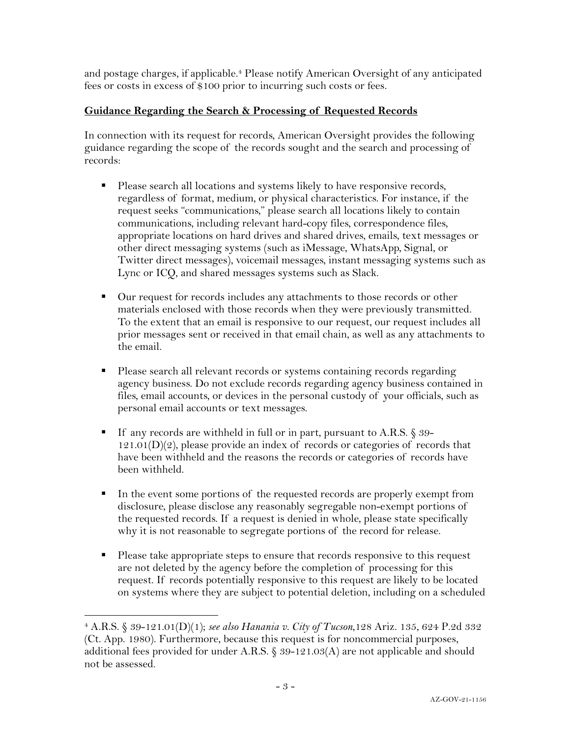and postage charges, if applicable.4 Please notify American Oversight of any anticipated fees or costs in excess of \$100 prior to incurring such costs or fees.

# **Guidance Regarding the Search & Processing of Requested Records**

In connection with its request for records, American Oversight provides the following guidance regarding the scope of the records sought and the search and processing of records:

- Please search all locations and systems likely to have responsive records, regardless of format, medium, or physical characteristics. For instance, if the request seeks "communications," please search all locations likely to contain communications, including relevant hard-copy files, correspondence files, appropriate locations on hard drives and shared drives, emails, text messages or other direct messaging systems (such as iMessage, WhatsApp, Signal, or Twitter direct messages), voicemail messages, instant messaging systems such as Lync or ICQ, and shared messages systems such as Slack.
- Our request for records includes any attachments to those records or other materials enclosed with those records when they were previously transmitted. To the extent that an email is responsive to our request, our request includes all prior messages sent or received in that email chain, as well as any attachments to the email.
- § Please search all relevant records or systems containing records regarding agency business. Do not exclude records regarding agency business contained in files, email accounts, or devices in the personal custody of your officials, such as personal email accounts or text messages.
- If any records are withheld in full or in part, pursuant to A.R.S. § 39- $121.01(D)(2)$ , please provide an index of records or categories of records that have been withheld and the reasons the records or categories of records have been withheld.
- § In the event some portions of the requested records are properly exempt from disclosure, please disclose any reasonably segregable non-exempt portions of the requested records. If a request is denied in whole, please state specifically why it is not reasonable to segregate portions of the record for release.
- Please take appropriate steps to ensure that records responsive to this request are not deleted by the agency before the completion of processing for this request. If records potentially responsive to this request are likely to be located on systems where they are subject to potential deletion, including on a scheduled

<sup>4</sup> A.R.S. § 39-121.01(D)(1); *see also Hanania v. City of Tucson*,128 Ariz. 135, 624 P.2d 332 (Ct. App. 1980). Furthermore, because this request is for noncommercial purposes, additional fees provided for under A.R.S. § 39-121.03(A) are not applicable and should not be assessed.